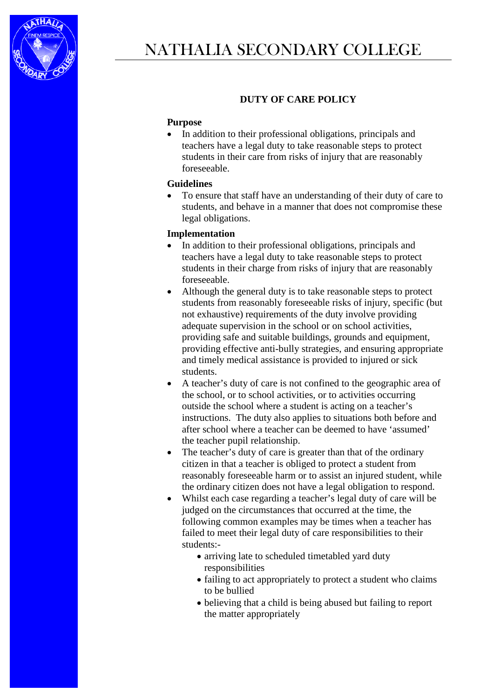

## **DUTY OF CARE POLICY**

## **Purpose**

• In addition to their professional obligations, principals and teachers have a legal duty to take reasonable steps to protect students in their care from risks of injury that are reasonably foreseeable.

## **Guidelines**

• To ensure that staff have an understanding of their duty of care to students, and behave in a manner that does not compromise these legal obligations.

## **Implementation**

- In addition to their professional obligations, principals and teachers have a legal duty to take reasonable steps to protect students in their charge from risks of injury that are reasonably foreseeable.
- Although the general duty is to take reasonable steps to protect students from reasonably foreseeable risks of injury, specific (but not exhaustive) requirements of the duty involve providing adequate supervision in the school or on school activities, providing safe and suitable buildings, grounds and equipment, providing effective anti-bully strategies, and ensuring appropriate and timely medical assistance is provided to injured or sick students.
- A teacher's duty of care is not confined to the geographic area of the school, or to school activities, or to activities occurring outside the school where a student is acting on a teacher's instructions. The duty also applies to situations both before and after school where a teacher can be deemed to have 'assumed' the teacher pupil relationship.
- The teacher's duty of care is greater than that of the ordinary citizen in that a teacher is obliged to protect a student from reasonably foreseeable harm or to assist an injured student, while the ordinary citizen does not have a legal obligation to respond.
- Whilst each case regarding a teacher's legal duty of care will be judged on the circumstances that occurred at the time, the following common examples may be times when a teacher has failed to meet their legal duty of care responsibilities to their students:-
	- arriving late to scheduled timetabled yard duty responsibilities
	- failing to act appropriately to protect a student who claims to be bullied
	- believing that a child is being abused but failing to report the matter appropriately